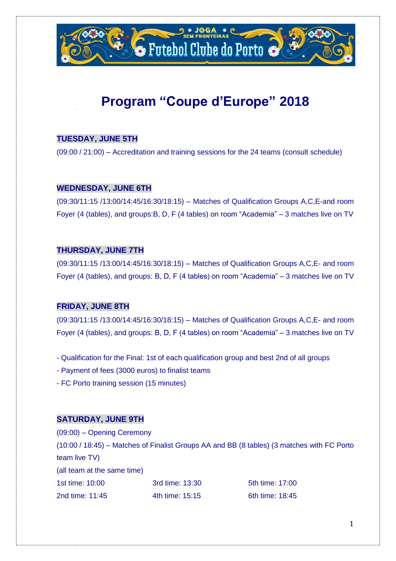

# **Program "Coupe d'Europe" 2018**

# **TUESDAY, JUNE 5TH**

(09:00 / 21:00) – Accreditation and training sessions for the 24 teams (consult schedule)

### **WEDNESDAY, JUNE 6TH**

(09:30/11:15 /13:00/14:45/16:30/18:15) – Matches of Qualification Groups A,C,E-and room Foyer (4 (tables), and groups:B, D, F (4 tables) on room "Academia" – 3 matches live on TV

### **THURSDAY, JUNE 7TH**

(09:30/11:15 /13:00/14:45/16:30/18:15) – Matches of Qualification Groups A,C,E- and room Foyer (4 (tables), and groups: B, D, F (4 tables) on room "Academia" – 3 matches live on TV

### **FRIDAY, JUNE 8TH**

(09:30/11:15 /13:00/14:45/16:30/18:15) – Matches of Qualification Groups A,C,E- and room Foyer (4 (tables), and groups: B, D, F (4 tables) on room "Academia" – 3 matches live on TV

- Qualification for the Final: 1st of each qualification group and best 2nd of all groups
- Payment of fees (3000 euros) to finalist teams
- FC Porto training session (15 minutes)

### **SATURDAY, JUNE 9TH**

(09:00) – Opening Ceremony (10:00 / 18:45) – Matches of Finalist Groups AA and BB (8 tables) (3 matches with FC Porto team live TV) (all team at the same time) 1st time: 10:00 3rd time: 13:30 5th time: 17:00 2nd time: 11:45 4th time: 15:15 6th time: 18:45